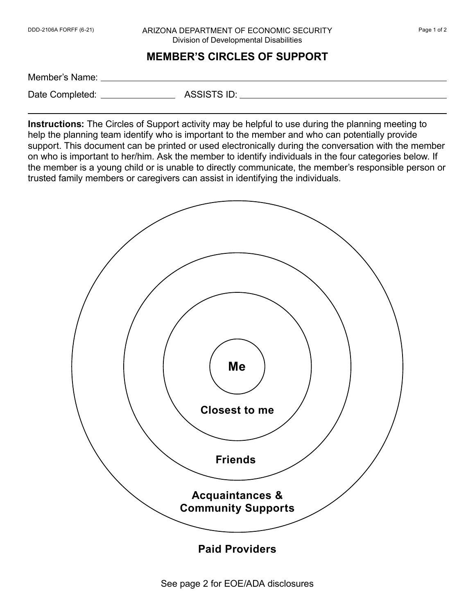## DDD-2106A FORFF (6-21) ARIZONA DEPARTMENT OF ECONOMIC SECURITY Page 1 of 2 Division of Developmental Disabilities

**MEMBER'S CIRCLES OF SUPPORT** 

Member's Name:

Date Completed: ASSISTS ID:

**Instructions:** The Circles of Support activity may be helpful to use during the planning meeting to help the planning team identify who is important to the member and who can potentially provide support. This document can be printed or used electronically during the conversation with the member on who is important to her/him. Ask the member to identify individuals in the four categories below. If the member is a young child or is unable to directly communicate, the member's responsible person or trusted family members or caregivers can assist in identifying the individuals.